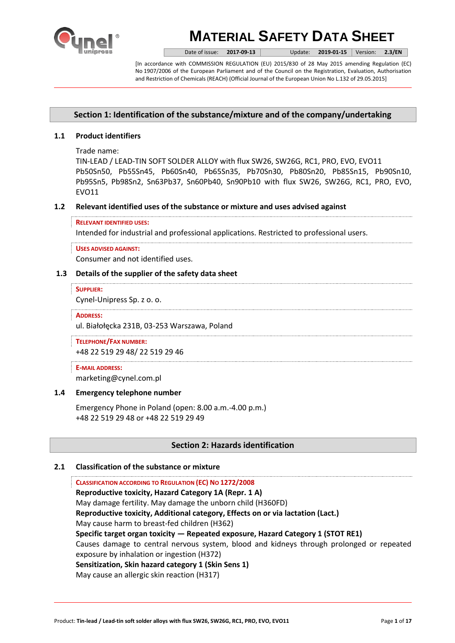

Date of issue: **2017-09-13** Update: **2019-01-15** Version: **2.3/EN**

[In accordance with COMMISSION REGULATION (EU) 2015/830 of 28 May 2015 amending Regulation (EC) No 1907/2006 of the European Parliament and of the Council on the Registration, Evaluation, Authorisation and Restriction of Chemicals (REACH) (Official Journal of the European Union No L.132 of 29.05.2015]

# **Section 1: Identification of the substance/mixture and of the company/undertaking**

# **1.1 Product identifiers**

Trade name:

TIN-LEAD / LEAD-TIN SOFT SOLDER ALLOY with flux SW26, SW26G, RC1, PRO, EVO, EVO11 Pb50Sn50, Pb55Sn45, Pb60Sn40, Pb65Sn35, Pb70Sn30, Pb80Sn20, Pb85Sn15, Pb90Sn10, Pb95Sn5, Pb98Sn2, Sn63Pb37, Sn60Pb40, Sn90Pb10 with flux SW26, SW26G, RC1, PRO, EVO, EVO11

## **1.2 Relevant identified uses of the substance or mixture and uses advised against**

### **RELEVANT IDENTIFIED USES:**

Intended for industrial and professional applications. Restricted to professional users.

#### **USES ADVISED AGAINST:**

Consumer and not identified uses.

## **1.3 Details of the supplier of the safety data sheet**

#### **SUPPLIER:**

Cynel-Unipress Sp. z o. o.

#### **ADDRESS:**

ul. Białołęcka 231B, 03-253 Warszawa, Poland

**TELEPHONE/FAX NUMBER:** +48 22 519 29 48/ 22 519 29 46

## **E-MAIL ADDRESS:**

marketing@cynel.com.pl

## **1.4 Emergency telephone number**

Emergency Phone in Poland (open: 8.00 a.m.-4.00 p.m.) +48 22 519 29 48 or +48 22 519 29 49

# **Section 2: Hazards identification**

## **2.1 Classification of the substance or mixture**

**CLASSIFICATION ACCORDING TO REGULATION (EC) NO 1272/2008 Reproductive toxicity, Hazard Category 1A (Repr. 1 A)** May damage fertility. May damage the unborn child (H360FD) **Reproductive toxicity, Additional category, Effects on or via lactation (Lact.)** May cause harm to breast-fed children (H362) **Specific target organ toxicity — Repeated exposure, Hazard Category 1 (STOT RE1)** Causes damage to central nervous system, blood and kidneys through prolonged or repeated exposure by inhalation or ingestion (H372) **Sensitization, Skin hazard category 1 (Skin Sens 1)** May cause an allergic skin reaction (H317)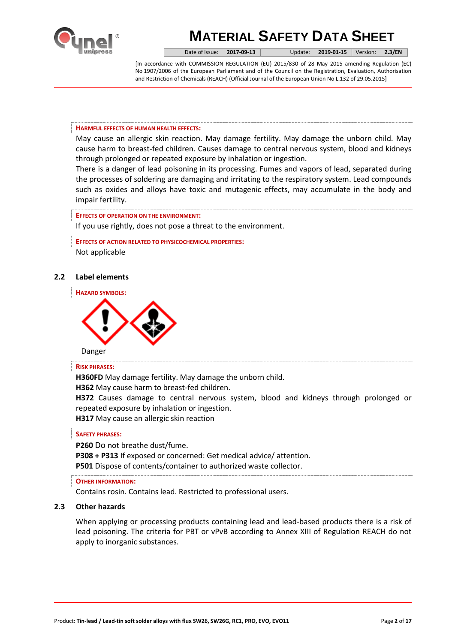

Date of issue: **2017-09-13** Update: **2019-01-15** Version: **2.3/EN**

[In accordance with COMMISSION REGULATION (EU) 2015/830 of 28 May 2015 amending Regulation (EC) No 1907/2006 of the European Parliament and of the Council on the Registration, Evaluation, Authorisation and Restriction of Chemicals (REACH) (Official Journal of the European Union No L.132 of 29.05.2015]

### **HARMFUL EFFECTS OF HUMAN HEALTH EFFECTS:**

May cause an allergic skin reaction. May damage fertility. May damage the unborn child. May cause harm to breast-fed children. Causes damage to central nervous system, blood and kidneys through prolonged or repeated exposure by inhalation or ingestion.

There is a danger of lead poisoning in its processing. Fumes and vapors of lead, separated during the processes of soldering are damaging and irritating to the respiratory system. Lead compounds such as oxides and alloys have toxic and mutagenic effects, may accumulate in the body and impair fertility.

## **EFFECTS OF OPERATION ON THE ENVIRONMENT:**

If you use rightly, does not pose a threat to the environment.

**EFFECTS OF ACTION RELATED TO PHYSICOCHEMICAL PROPERTIES:** Not applicable

## **2.2 Label elements**



#### **RISK PHRASES:**

**H360FD** May damage fertility. May damage the unborn child.

**H362** May cause harm to breast-fed children.

**H372** Causes damage to central nervous system, blood and kidneys through prolonged or repeated exposure by inhalation or ingestion.

**H317** May cause an allergic skin reaction

### **SAFETY PHRASES:**

**P260** Do not breathe dust/fume.

**P308 + P313** If exposed or concerned: Get medical advice/ attention.

**P501** Dispose of contents/container to authorized waste collector.

## **OTHER INFORMATION:**

Contains rosin. Contains lead. Restricted to professional users.

# **2.3 Other hazards**

When applying or processing products containing lead and lead-based products there is a risk of lead poisoning. The criteria for PBT or vPvB according to Annex XIII of Regulation REACH do not apply to inorganic substances.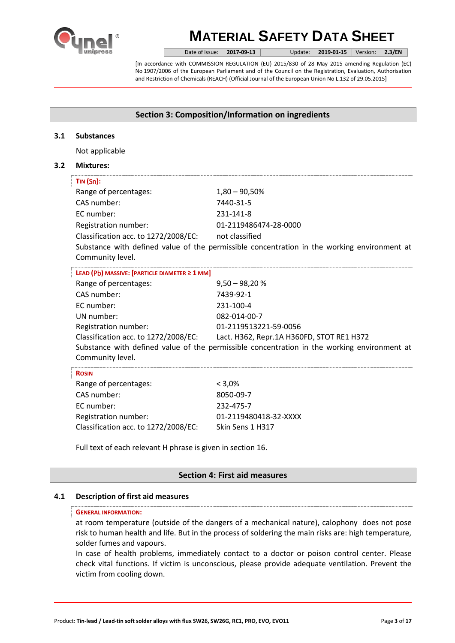

Date of issue: **2017-09-13** Update: **2019-01-15** Version: **2.3/EN**

[In accordance with COMMISSION REGULATION (EU) 2015/830 of 28 May 2015 amending Regulation (EC) No 1907/2006 of the European Parliament and of the Council on the Registration, Evaluation, Authorisation and Restriction of Chemicals (REACH) (Official Journal of the European Union No L.132 of 29.05.2015]

# **Section 3: Composition/Information on ingredients**

## **3.1 Substances**

Not applicable

## **3.2 Mixtures:**

| $TIN(Sn)$ :                                         |                                                                                             |
|-----------------------------------------------------|---------------------------------------------------------------------------------------------|
| Range of percentages:                               | $1,80 - 90,50%$                                                                             |
| CAS number:                                         | 7440-31-5                                                                                   |
| FC number:                                          | 231-141-8                                                                                   |
| Registration number:                                | 01-2119486474-28-0000                                                                       |
| Classification acc. to 1272/2008/EC: not classified |                                                                                             |
| Community level.                                    | Substance with defined value of the permissible concentration in the working environment at |
| LEAD (Pb) MASSIVE: [PARTICLE DIAMETER ≥ 1 MM]       |                                                                                             |
| Range of percentages:                               | $9,50 - 98,20%$                                                                             |
| CAS number:                                         | 7439-92-1                                                                                   |
| EC number:                                          | 231-100-4                                                                                   |
| UN number:                                          | 082-014-00-7                                                                                |
| Registration number:                                | 01-2119513221-59-0056                                                                       |
|                                                     | Classification acc. to 1272/2008/EC: Lact. H362, Repr.1A H360FD, STOT RE1 H372              |
| Community level.                                    | Substance with defined value of the permissible concentration in the working environment at |
| <b>ROSIN</b>                                        |                                                                                             |
| Range of percentages:                               | $< 3,0\%$                                                                                   |
| CAS number:                                         | 8050-09-7                                                                                   |
| EC number:                                          | 232-475-7                                                                                   |
| Registration number:                                | 01-2119480418-32-XXXX                                                                       |

Full text of each relevant H phrase is given in section 16.

Classification acc. to 1272/2008/EC: Skin Sens 1 H317

# **Section 4: First aid measures**

## **4.1 Description of first aid measures**

#### **GENERAL INFORMATION:**

at room temperature (outside of the dangers of a mechanical nature), calophony does not pose risk to human health and life. But in the process of soldering the main risks are: high temperature, solder fumes and vapours.

In case of health problems, immediately contact to a doctor or poison control center. Please check vital functions. If victim is unconscious, please provide adequate ventilation. Prevent the victim from cooling down.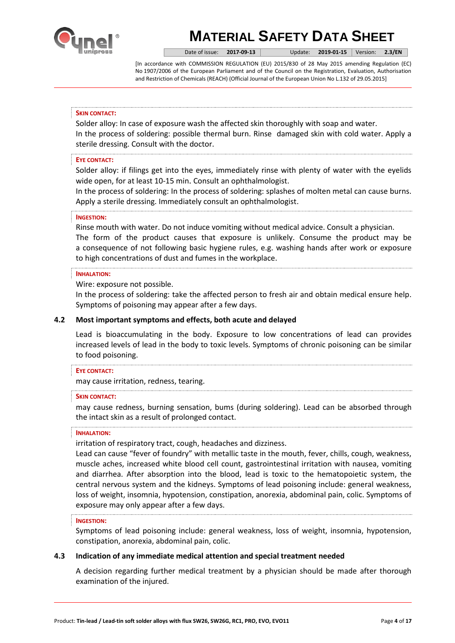

Date of issue: **2017-09-13** Update: **2019-01-15** Version: **2.3/EN**

[In accordance with COMMISSION REGULATION (EU) 2015/830 of 28 May 2015 amending Regulation (EC) No 1907/2006 of the European Parliament and of the Council on the Registration, Evaluation, Authorisation and Restriction of Chemicals (REACH) (Official Journal of the European Union No L.132 of 29.05.2015]

### **SKIN CONTACT:**

Solder alloy: In case of exposure wash the affected skin thoroughly with soap and water. In the process of soldering: possible thermal burn. Rinse damaged skin with cold water. Apply a sterile dressing. Consult with the doctor.

## **EYE CONTACT:**

Solder alloy: if filings get into the eyes, immediately rinse with plenty of water with the eyelids wide open, for at least 10-15 min. Consult an ophthalmologist.

In the process of soldering: In the process of soldering: splashes of molten metal can cause burns. Apply a sterile dressing. Immediately consult an ophthalmologist.

### **INGESTION:**

Rinse mouth with water. Do not induce vomiting without medical advice. Consult a physician. The form of the product causes that exposure is unlikely. Consume the product may be a consequence of not following basic hygiene rules, e.g. washing hands after work or exposure to high concentrations of dust and fumes in the workplace.

#### **INHALATION:**

Wire: exposure not possible.

In the process of soldering: take the affected person to fresh air and obtain medical ensure help. Symptoms of poisoning may appear after a few days.

## **4.2 Most important symptoms and effects, both acute and delayed**

Lead is bioaccumulating in the body. Exposure to low concentrations of lead can provides increased levels of lead in the body to toxic levels. Symptoms of chronic poisoning can be similar to food poisoning.

#### **EYE CONTACT:**

may cause irritation, redness, tearing.

#### **SKIN CONTACT:**

may cause redness, burning sensation, bums (during soldering). Lead can be absorbed through the intact skin as a result of prolonged contact.

#### **INHALATION:**

irritation of respiratory tract, cough, headaches and dizziness.

Lead can cause "fever of foundry" with metallic taste in the mouth, fever, chills, cough, weakness, muscle aches, increased white blood cell count, gastrointestinal irritation with nausea, vomiting and diarrhea. After absorption into the blood, lead is toxic to the hematopoietic system, the central nervous system and the kidneys. Symptoms of lead poisoning include: general weakness, loss of weight, insomnia, hypotension, constipation, anorexia, abdominal pain, colic. Symptoms of exposure may only appear after a few days.

#### **INGESTION:**

Symptoms of lead poisoning include: general weakness, loss of weight, insomnia, hypotension, constipation, anorexia, abdominal pain, colic.

## **4.3 Indication of any immediate medical attention and special treatment needed**

A decision regarding further medical treatment by a physician should be made after thorough examination of the injured.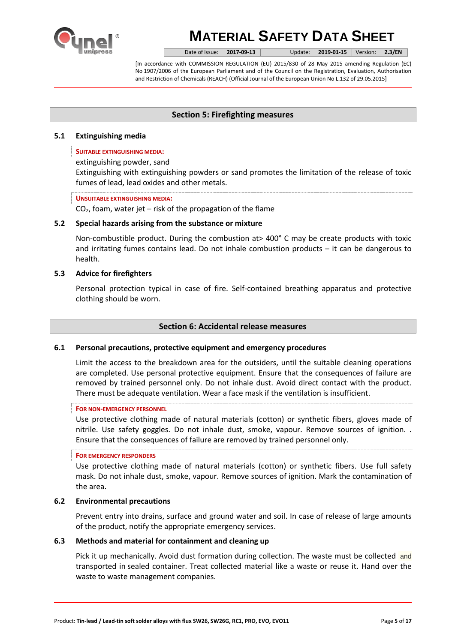

Date of issue: **2017-09-13** Update: **2019-01-15** Version: **2.3/EN**

[In accordance with COMMISSION REGULATION (EU) 2015/830 of 28 May 2015 amending Regulation (EC) No 1907/2006 of the European Parliament and of the Council on the Registration, Evaluation, Authorisation and Restriction of Chemicals (REACH) (Official Journal of the European Union No L.132 of 29.05.2015]

# **Section 5: Firefighting measures**

# **5.1 Extinguishing media**

## **SUITABLE EXTINGUISHING MEDIA:**

## extinguishing powder, sand

Extinguishing with extinguishing powders or sand promotes the limitation of the release of toxic fumes of lead, lead oxides and other metals.

## **UNSUITABLE EXTINGUISHING MEDIA:**

 $CO<sub>2</sub>$ , foam, water jet – risk of the propagation of the flame

# **5.2 Special hazards arising from the substance or mixture**

Non-combustible product. During the combustion at> 400° C may be create products with toxic and irritating fumes contains lead. Do not inhale combustion products – it can be dangerous to health.

# **5.3 Advice for firefighters**

Personal protection typical in case of fire. Self-contained breathing apparatus and protective clothing should be worn.

# **Section 6: Accidental release measures**

# **6.1 Personal precautions, protective equipment and emergency procedures**

Limit the access to the breakdown area for the outsiders, until the suitable cleaning operations are completed. Use personal protective equipment. Ensure that the consequences of failure are removed by trained personnel only. Do not inhale dust. Avoid direct contact with the product. There must be adequate ventilation. Wear a face mask if the ventilation is insufficient.

## **FOR NON-EMERGENCY PERSONNEL**

Use protective clothing made of natural materials (cotton) or synthetic fibers, gloves made of nitrile. Use safety goggles. Do not inhale dust, smoke, vapour. Remove sources of ignition. . Ensure that the consequences of failure are removed by trained personnel only.

## **FOR EMERGENCY RESPONDERS**

Use protective clothing made of natural materials (cotton) or synthetic fibers. Use full safety mask. Do not inhale dust, smoke, vapour. Remove sources of ignition. Mark the contamination of the area.

## **6.2 Environmental precautions**

Prevent entry into drains, surface and ground water and soil. In case of release of large amounts of the product, notify the appropriate emergency services.

## **6.3 Methods and material for containment and cleaning up**

Pick it up mechanically. Avoid dust formation during collection. The waste must be collected and transported in sealed container. Treat collected material like a waste or reuse it. Hand over the waste to [waste management](https://www.diki.pl/slownik-angielskiego?q=waste+management) companies.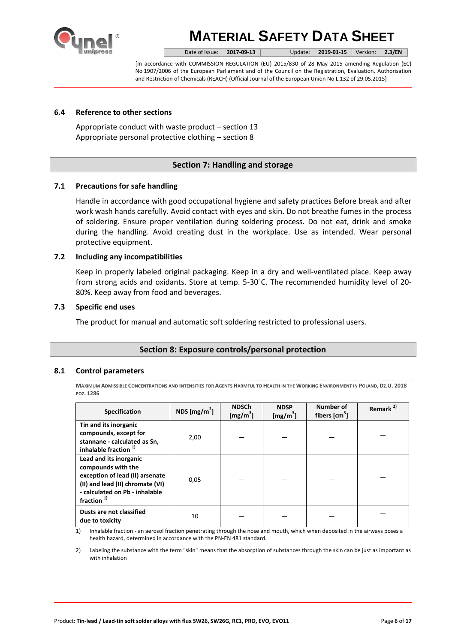

Date of issue: **2017-09-13** Update: **2019-01-15** Version: **2.3/EN**

[In accordance with COMMISSION REGULATION (EU) 2015/830 of 28 May 2015 amending Regulation (EC) No 1907/2006 of the European Parliament and of the Council on the Registration, Evaluation, Authorisation and Restriction of Chemicals (REACH) (Official Journal of the European Union No L.132 of 29.05.2015]

# **6.4 Reference to other sections**

Appropriate conduct with waste product – section 13 Appropriate personal protective clothing – section 8

# **Section 7: Handling and storage**

# **7.1 Precautions for safe handling**

Handle in accordance with good occupational hygiene and safety practices Before break and after work wash hands carefully. Avoid contact with eyes and skin. Do not breathe fumes in the process of soldering. Ensure proper ventilation during soldering process. Do not eat, drink and smoke during the handling. Avoid creating dust in the workplace. Use as intended. Wear personal protective equipment.

## **7.2 Including any incompatibilities**

Keep in properly labeled original packaging. Keep in a dry and well-ventilated place. Keep away from strong acids and oxidants. Store at temp. 5-30˚C. The recommended humidity level of 20- 80%. Keep away from food and beverages.

## **7.3 Specific end uses**

The product for manual and automatic soft soldering restricted to professional users.

# **Section 8: Exposure controls/personal protection**

## **8.1 Control parameters**

MAXIMUM ADMISSIBLE CONCENTRATIONS AND INTENSITIES FOR AGENTS HARMFUL TO HEALTH IN THE WORKING ENVIRONMENT IN POLAND, DZ.U. 2018 **POZ. 1286**

| <b>Specification</b>                                                                                                                                                  | NDS [ $mg/m3$ ] | <b>NDSCh</b><br>[mg/m <sup>3</sup> ] | <b>NDSP</b><br>[mg/m <sup>3</sup> ] | Number of<br>fibers $\text{[cm}^3\text{]}$ | Remark <sup>2)</sup> |
|-----------------------------------------------------------------------------------------------------------------------------------------------------------------------|-----------------|--------------------------------------|-------------------------------------|--------------------------------------------|----------------------|
| Tin and its inorganic<br>compounds, except for<br>stannane - calculated as Sn,<br>inhalable fraction <sup>1)</sup>                                                    | 2,00            |                                      |                                     |                                            |                      |
| Lead and its inorganic<br>compounds with the<br>exception of lead (II) arsenate<br>(II) and lead (II) chromate (VI)<br>- calculated on Pb - inhalable<br>fraction $1$ | 0,05            |                                      |                                     |                                            |                      |
| Dusts are not classified<br>due to toxicity                                                                                                                           | 10              |                                      |                                     |                                            |                      |

1) Inhalable fraction - an aerosol fraction penetrating through the nose and mouth, which when deposited in the airways poses a health hazard, determined in accordance with the PN-EN 481 standard.

2) Labeling the substance with the term "skin" means that the absorption of substances through the skin can be just as important as with inhalation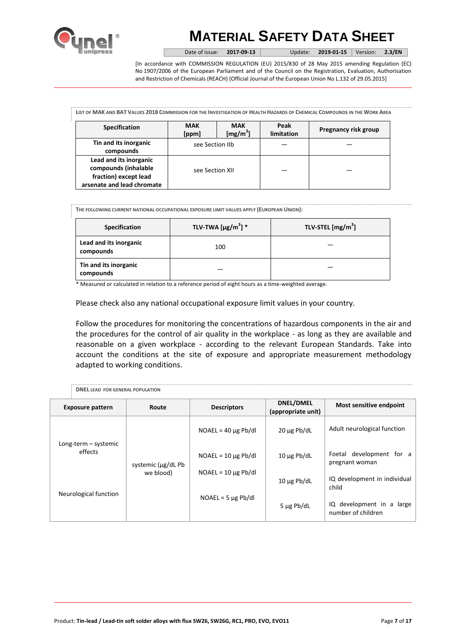

Date of issue: **2017-09-13** Update: **2019-01-15** Version: **2.3/EN**

[In accordance with COMMISSION REGULATION (EU) 2015/830 of 28 May 2015 amending Regulation (EC) No 1907/2006 of the European Parliament and of the Council on the Registration, Evaluation, Authorisation and Restriction of Chemicals (REACH) (Official Journal of the European Union No L.132 of 29.05.2015]

LIST OF MAK AND BAT VALUES 2018 COMMISSION FOR THE INVESTIGATION OF HEALTH HAZARDS OF CHEMICAL COMPOUNDS IN THE WORK AREA

| <b>Specification</b>                                                                                  | <b>MAK</b><br>[ppm] | <b>MAK</b><br>[mg/m <sup>3</sup> ] | Peak<br>limitation | Pregnancy risk group |
|-------------------------------------------------------------------------------------------------------|---------------------|------------------------------------|--------------------|----------------------|
| Tin and its inorganic<br>compounds                                                                    | see Section IIb     |                                    |                    |                      |
| Lead and its inorganic<br>compounds (inhalable<br>fraction) except lead<br>arsenate and lead chromate | see Section XII     |                                    |                    |                      |

**THE FOLLOWING CURRENT NATIONAL OCCUPATIONAL EXPOSURE LIMIT VALUES APPLY (EUROPEAN UNION):**

| Specification                       | TLV-TWA $[\mu g/m^3]$ * | TLV-STEL [mg/m <sup>3</sup> ] |
|-------------------------------------|-------------------------|-------------------------------|
| Lead and its inorganic<br>compounds | 100                     |                               |
| Tin and its inorganic<br>compounds  |                         |                               |

\* Measured or calculated in relation to a reference period of eight hours as a time-weighted average.

Please check also any national occupational exposure limit values in your country.

Follow the procedures for monitoring the concentrations of hazardous components in the air and the procedures for the control of air quality in the workplace - as long as they are available and reasonable on a given workplace - according to the relevant European Standards. Take into account the conditions at the site of exposure and appropriate measurement methodology adapted to working conditions.

| <b>DNEL LEAD FOR GENERAL POPULATION</b> |                    |                          |                                        |                                                 |
|-----------------------------------------|--------------------|--------------------------|----------------------------------------|-------------------------------------------------|
| <b>Exposure pattern</b>                 | Route              | <b>Descriptors</b>       | <b>DNEL/DMEL</b><br>(appropriate unit) | <b>Most sensitive endpoint</b>                  |
|                                         |                    | $NOAEL = 40 \mu g Pb/dl$ | 20 µg Pb/dL                            | Adult neurological function                     |
| Long-term - systemic<br>effects         | systemic (µg/dL Pb | $NOAEL = 10 \mu g Pb/dl$ | $10 \mu g$ Pb/dL                       | Foetal development for a<br>pregnant woman      |
|                                         | we blood)          | $NOAEL = 10 \mu g Pb/dl$ | $10 \mu g$ Pb/dL                       | IQ development in individual<br>child           |
| Neurological function                   |                    | $NOAEL = 5 \mu g Pb/dl$  | $5 \mu g$ Pb/dL                        | IQ development in a large<br>number of children |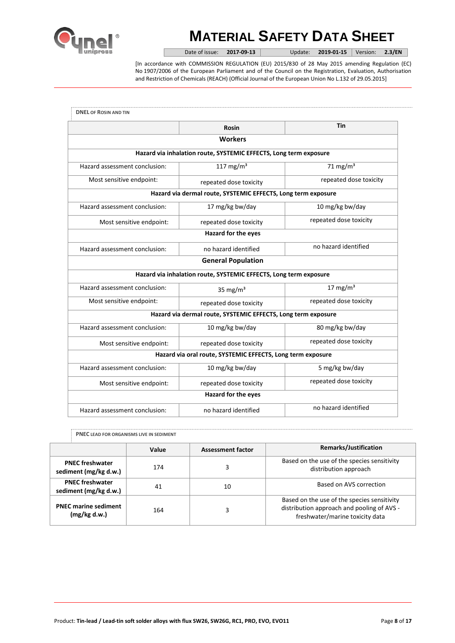

Date of issue: **2017-09-13** Update: **2019-01-15** Version: **2.3/EN**

[In accordance with COMMISSION REGULATION (EU) 2015/830 of 28 May 2015 amending Regulation (EC) No 1907/2006 of the European Parliament and of the Council on the Registration, Evaluation, Authorisation and Restriction of Chemicals (REACH) (Official Journal of the European Union No L.132 of 29.05.2015]

|                               | Rosin                                                             | Tin                    |
|-------------------------------|-------------------------------------------------------------------|------------------------|
|                               | <b>Workers</b>                                                    |                        |
|                               | Hazard via inhalation route, SYSTEMIC EFFECTS, Long term exposure |                        |
| Hazard assessment conclusion: | 117 mg/m $3$                                                      | 71 mg/m $3$            |
| Most sensitive endpoint:      | repeated dose toxicity                                            | repeated dose toxicity |
|                               | Hazard via dermal route, SYSTEMIC EFFECTS, Long term exposure     |                        |
| Hazard assessment conclusion: | 17 mg/kg bw/day                                                   | 10 mg/kg bw/day        |
| Most sensitive endpoint:      | repeated dose toxicity                                            | repeated dose toxicity |
|                               | Hazard for the eyes                                               |                        |
| Hazard assessment conclusion: | no hazard identified                                              | no hazard identified   |
|                               | <b>General Population</b>                                         |                        |
|                               | Hazard via inhalation route, SYSTEMIC EFFECTS, Long term exposure |                        |
| Hazard assessment conclusion: | 35 mg/ $m3$                                                       | $17 \text{ mg/m}^3$    |
| Most sensitive endpoint:      | repeated dose toxicity                                            | repeated dose toxicity |
|                               | Hazard via dermal route, SYSTEMIC EFFECTS, Long term exposure     |                        |
| Hazard assessment conclusion: | 10 mg/kg bw/day                                                   | 80 mg/kg bw/day        |
| Most sensitive endpoint:      | repeated dose toxicity                                            | repeated dose toxicity |
|                               | Hazard via oral route, SYSTEMIC EFFECTS, Long term exposure       |                        |
| Hazard assessment conclusion: | 10 mg/kg bw/day                                                   | 5 mg/kg bw/day         |
| Most sensitive endpoint:      | repeated dose toxicity                                            | repeated dose toxicity |
|                               | <b>Hazard for the eyes</b>                                        |                        |
| Hazard assessment conclusion: | no hazard identified                                              | no hazard identified   |

|  |  |  |  |  | <b>PNEC LEAD FOR ORGANISMS LIVE IN SEDIMENT</b> |  |  |
|--|--|--|--|--|-------------------------------------------------|--|--|
|--|--|--|--|--|-------------------------------------------------|--|--|

|                                                 | Value | <b>Assessment factor</b> | Remarks/Justification                                                                                                        |
|-------------------------------------------------|-------|--------------------------|------------------------------------------------------------------------------------------------------------------------------|
| <b>PNEC freshwater</b><br>sediment (mg/kg d.w.) | 174   |                          | Based on the use of the species sensitivity<br>distribution approach                                                         |
| <b>PNEC freshwater</b><br>sediment (mg/kg d.w.) | 41    | 10                       | Based on AVS correction                                                                                                      |
| <b>PNEC marine sediment</b><br>(mg/kg d.w.)     | 164   |                          | Based on the use of the species sensitivity<br>distribution approach and pooling of AVS -<br>freshwater/marine toxicity data |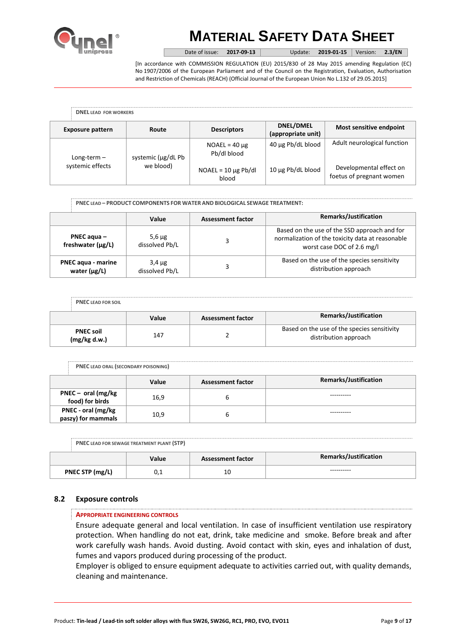

Date of issue: **2017-09-13** Update: **2019-01-15** Version: **2.3/EN**

[In accordance with COMMISSION REGULATION (EU) 2015/830 of 28 May 2015 amending Regulation (EC) No 1907/2006 of the European Parliament and of the Council on the Registration, Evaluation, Authorisation and Restriction of Chemicals (REACH) (Official Journal of the European Union No L.132 of 29.05.2015]

| <b>DNEL LEAD FOR WORKERS</b> |                    |                                   |                                 |                                                     |
|------------------------------|--------------------|-----------------------------------|---------------------------------|-----------------------------------------------------|
| <b>Exposure pattern</b>      | Route              | <b>Descriptors</b>                | DNEL/DMEL<br>(appropriate unit) | Most sensitive endpoint                             |
| Long-term $-$                | systemic (µg/dL Pb | $NOAEL = 40 \mu g$<br>Pb/dl blood | 40 µg Pb/dL blood               | Adult neurological function                         |
| systemic effects             | we blood)          | $NOAEL = 10 \mu g Pb/dl$<br>blood | 10 µg Pb/dL blood               | Developmental effect on<br>foetus of pregnant women |

**PNEC LEAD – PRODUCT COMPONENTS FOR WATER AND BIOLOGICAL SEWAGE TREATMENT:**

|                                                | Value                         | <b>Assessment factor</b> | Remarks/Justification                                                                                                          |
|------------------------------------------------|-------------------------------|--------------------------|--------------------------------------------------------------------------------------------------------------------------------|
| PNEC agua $-$<br>freshwater (µg/L)             | $5,6 \mu$ g<br>dissolved Pb/L |                          | Based on the use of the SSD approach and for<br>normalization of the toxicity data at reasonable<br>worst case DOC of 2.6 mg/l |
| <b>PNEC agua - marine</b><br>water $(\mu g/L)$ | $3,4 \mu$ g<br>dissolved Pb/L |                          | Based on the use of the species sensitivity<br>distribution approach                                                           |

| <b>PNEC LEAD FOR SOIL</b>        |       |                          |                                                                      |
|----------------------------------|-------|--------------------------|----------------------------------------------------------------------|
|                                  | Value | <b>Assessment factor</b> | <b>Remarks/Justification</b>                                         |
| <b>PNEC soil</b><br>(mg/kg d.w.) | 147   |                          | Based on the use of the species sensitivity<br>distribution approach |

|                                          | Value | <b>Assessment factor</b> | <b>Remarks/Justification</b> |
|------------------------------------------|-------|--------------------------|------------------------------|
| $PNEC - oral (mg/kg)$<br>food) for birds | 16,9  |                          |                              |
| PNEC - oral (mg/kg<br>paszy) for mammals | 10,9  |                          |                              |

| PNEC LEAD FOR SEWAGE TREATMENT PLANT (STP) |  |
|--------------------------------------------|--|
|                                            |  |

|                 | Value | <b>Assessment factor</b> | <b>Remarks/Justification</b> |
|-----------------|-------|--------------------------|------------------------------|
| PNEC STP (mg/L) | ∪,⊥   | 10                       | ----------                   |

## **8.2 Exposure controls**

## **APPROPRIATE ENGINEERING CONTROLS**

Ensure adequate general and local ventilation. In case of insufficient ventilation use respiratory protection. When handling do not eat, drink, take medicine and smoke. Before break and after work carefully wash hands. Avoid dusting. Avoid contact with skin, eyes and inhalation of dust, fumes and vapors produced during processing of the product.

Employer is obliged to ensure equipment adequate to activities carried out, with quality demands, cleaning and maintenance.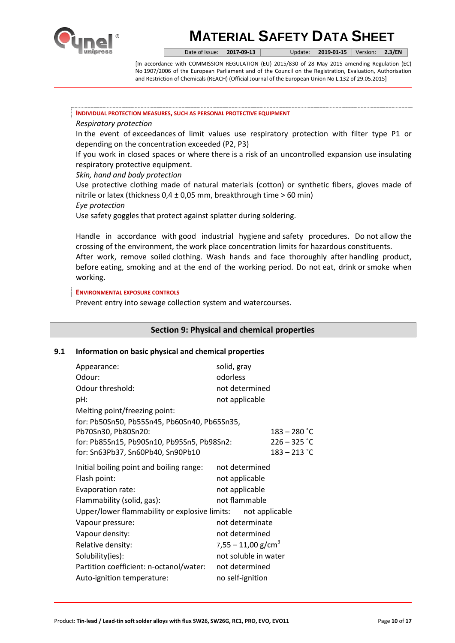

Date of issue: **2017-09-13** Update: **2019-01-15** Version: **2.3/EN**

[In accordance with COMMISSION REGULATION (EU) 2015/830 of 28 May 2015 amending Regulation (EC) No 1907/2006 of the European Parliament and of the Council on the Registration, Evaluation, Authorisation and Restriction of Chemicals (REACH) (Official Journal of the European Union No L.132 of 29.05.2015]

#### **INDIVIDUAL PROTECTION MEASURES, SUCH AS PERSONAL PROTECTIVE EQUIPMENT**

# *Respiratory protection*

In the event of exceedances of limit values use respiratory protection with filter type P1 or depending on the concentration exceeded (P2, P3)

If you work in closed spaces or where there is a risk of an uncontrolled expansion use insulating respiratory protective equipment.

## *Skin, hand and body protection*

Use protective clothing made of natural materials (cotton) or synthetic fibers, gloves made of nitrile or latex (thickness  $0.4 \pm 0.05$  mm, breakthrough time > 60 min) *Eye protection* 

Use safety goggles that protect against splatter during soldering.

Handle in accordance with good industrial hygiene and safety procedures. Do not allow the crossing of the environment, the work place concentration limits for hazardous constituents. After work, remove soiled clothing. Wash hands and face thoroughly after handling product, before eating, smoking and at the end of the working period. Do not eat, drink or smoke when working.

### **ENVIRONMENTAL EXPOSURE CONTROLS**

Prevent entry into sewage collection system and watercourses.

# **Section 9: Physical and chemical properties**

## **9.1 Information on basic physical and chemical properties**

| Appearance:                                   | solid, gray                      |                |  |
|-----------------------------------------------|----------------------------------|----------------|--|
| Odour:                                        | odorless                         |                |  |
| Odour threshold:                              | not determined                   |                |  |
| pH:                                           | not applicable                   |                |  |
| Melting point/freezing point:                 |                                  |                |  |
| for: Pb50Sn50, Pb55Sn45, Pb60Sn40, Pb65Sn35,  |                                  |                |  |
| Pb70Sn30, Pb80Sn20:                           |                                  | $183 - 280$ °C |  |
| for: Pb85Sn15, Pb90Sn10, Pb95Sn5, Pb98Sn2:    |                                  | $226 - 325$ °C |  |
| for: Sn63Pb37, Sn60Pb40, Sn90Pb10             |                                  | $183 - 213$ °C |  |
| Initial boiling point and boiling range:      | not determined                   |                |  |
| Flash point:                                  | not applicable                   |                |  |
| Evaporation rate:                             | not applicable                   |                |  |
| Flammability (solid, gas):                    | not flammable                    |                |  |
| Upper/lower flammability or explosive limits: | not applicable                   |                |  |
| Vapour pressure:                              | not determinate                  |                |  |
| Vapour density:                               | not determined                   |                |  |
| Relative density:                             | $7,55 - 11,00$ g/cm <sup>3</sup> |                |  |
| Solubility(ies):                              | not soluble in water             |                |  |
| Partition coefficient: n-octanol/water:       | not determined                   |                |  |
| Auto-ignition temperature:                    | no self-ignition                 |                |  |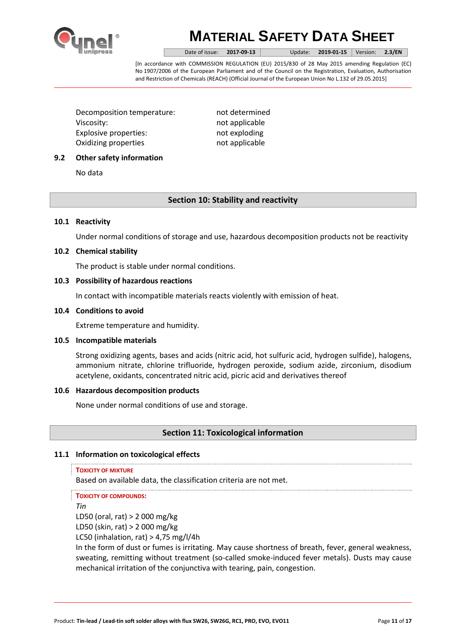

Date of issue: **2017-09-13** Update: **2019-01-15** Version: **2.3/EN**

[In accordance with COMMISSION REGULATION (EU) 2015/830 of 28 May 2015 amending Regulation (EC) No 1907/2006 of the European Parliament and of the Council on the Registration, Evaluation, Authorisation and Restriction of Chemicals (REACH) (Official Journal of the European Union No L.132 of 29.05.2015]

Decomposition temperature: not determined Viscosity: not applicable Explosive properties: not exploding Oxidizing properties not applicable

# **9.2 Other safety information**

No data

# **Section 10: Stability and reactivity**

## **10.1 Reactivity**

Under normal conditions of storage and use, hazardous decomposition products not be reactivity

## **10.2 Chemical stability**

The product is stable under normal conditions.

## **10.3 Possibility of hazardous reactions**

In contact with incompatible materials reacts violently with emission of heat.

## **10.4 Conditions to avoid**

Extreme temperature and humidity.

## **10.5 Incompatible materials**

Strong oxidizing agents, bases and acids (nitric acid, hot sulfuric acid, hydrogen sulfide), halogens, ammonium nitrate, chlorine trifluoride, hydrogen peroxide, sodium azide, zirconium, disodium acetylene, oxidants, concentrated nitric acid, picric acid and derivatives thereof

# **10.6 Hazardous decomposition products**

None under normal conditions of use and storage.

# **Section 11: Toxicological information**

# **11.1 Information on toxicological effects**

**TOXICITY OF MIXTURE** 

Based on available data, the classification criteria are not met.

**TOXICITY OF COMPOUNDS:**

*Tin* 

LD50 (oral, rat) > 2 000 mg/kg

LD50 (skin, rat) > 2 000 mg/kg

LC50 (inhalation, rat)  $> 4,75$  mg/l/4h

In the form of dust or fumes is irritating. May cause shortness of breath, fever, general weakness, sweating, remitting without treatment (so-called smoke-induced fever metals). Dusts may cause mechanical irritation of the conjunctiva with tearing, pain, congestion.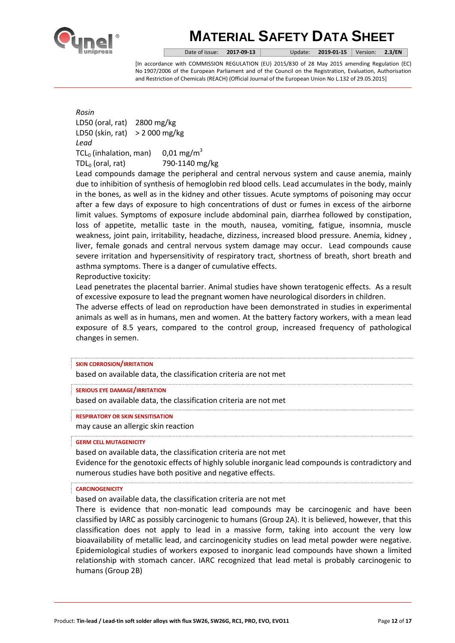

Date of issue: **2017-09-13** Update: **2019-01-15** Version: **2.3/EN**

[In accordance with COMMISSION REGULATION (EU) 2015/830 of 28 May 2015 amending Regulation (EC) No 1907/2006 of the European Parliament and of the Council on the Registration, Evaluation, Authorisation and Restriction of Chemicals (REACH) (Official Journal of the European Union No L.132 of 29.05.2015]

*Rosin* LD50 (oral, rat) 2800 mg/kg LD50 (skin, rat) > 2 000 mg/kg *Lead* TCL<sub>0</sub> (inhalation, man) 0,01 mg/m<sup>3</sup> TDL<sup>0</sup> (oral, rat) 790-1140 mg/kg

Lead compounds damage the peripheral and central nervous system and cause anemia, mainly due to inhibition of synthesis of hemoglobin red blood cells. Lead accumulates in the body, mainly in the bones, as well as in the kidney and other tissues. Acute symptoms of poisoning may occur after a few days of exposure to high concentrations of dust or fumes in excess of the airborne limit values. Symptoms of exposure include abdominal pain, diarrhea followed by constipation, loss of appetite, metallic taste in the mouth, nausea, vomiting, fatigue, insomnia, muscle weakness, joint pain, irritability, headache, dizziness, increased blood pressure. Anemia, kidney , liver, female gonads and central nervous system damage may occur. Lead compounds cause severe irritation and hypersensitivity of respiratory tract, shortness of breath, short breath and asthma symptoms. There is a danger of cumulative effects. Reproductive toxicity:

Lead penetrates the placental barrier. Animal studies have shown teratogenic effects. As a result of excessive exposure to lead the pregnant women have neurological disorders in children.

The adverse effects of lead on reproduction have been demonstrated in studies in experimental animals as well as in humans, men and women. At the battery factory workers, with a mean lead exposure of 8.5 years, compared to the control group, increased frequency of pathological changes in semen.

#### **SKIN CORROSION/IRRITATION**

based on available data, the classification criteria are not met

**SERIOUS EYE DAMAGE/IRRITATION**

based on available data, the classification criteria are not met

**RESPIRATORY OR SKIN SENSITISATION**

may cause an allergic skin reaction

### **GERM CELL MUTAGENICITY**

based on available data, the classification criteria are not met Evidence for the genotoxic effects of highly soluble inorganic lead compounds is contradictory and numerous studies have both positive and negative effects.

#### **CARCINOGENICITY**

based on available data, the classification criteria are not met

There is evidence that non-monatic lead compounds may be carcinogenic and have been classified by IARC as possibly carcinogenic to humans (Group 2A). It is believed, however, that this classification does not apply to lead in a massive form, taking into account the very low bioavailability of metallic lead, and carcinogenicity studies on lead metal powder were negative. Epidemiological studies of workers exposed to inorganic lead compounds have shown a limited relationship with stomach cancer. IARC recognized that lead metal is probably carcinogenic to humans (Group 2B)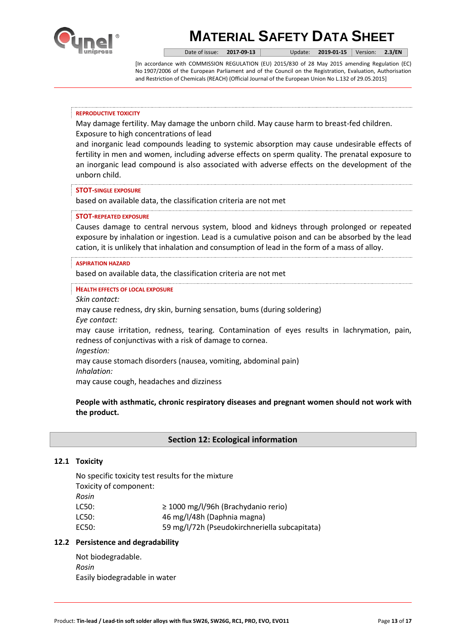

Date of issue: **2017-09-13** Update: **2019-01-15** Version: **2.3/EN**

[In accordance with COMMISSION REGULATION (EU) 2015/830 of 28 May 2015 amending Regulation (EC) No 1907/2006 of the European Parliament and of the Council on the Registration, Evaluation, Authorisation and Restriction of Chemicals (REACH) (Official Journal of the European Union No L.132 of 29.05.2015]

#### **REPRODUCTIVE TOXICITY**

May damage fertility. May damage the unborn child. May cause harm to breast-fed children. Exposure to high concentrations of lead

and inorganic lead compounds leading to systemic absorption may cause undesirable effects of fertility in men and women, including adverse effects on sperm quality. The prenatal exposure to an inorganic lead compound is also associated with adverse effects on the development of the unborn child.

### **STOT-SINGLE EXPOSURE**

based on available data, the classification criteria are not met

### **STOT-REPEATED EXPOSURE**

Causes damage to central nervous system, blood and kidneys through prolonged or repeated exposure by inhalation or ingestion. Lead is a cumulative poison and can be absorbed by the lead cation, it is unlikely that inhalation and consumption of lead in the form of a mass of alloy.

#### **ASPIRATION HAZARD**

based on available data, the classification criteria are not met

#### **HEALTH EFFECTS OF LOCAL EXPOSURE**

*Skin contact:* 

may cause redness, dry skin, burning sensation, bums (during soldering) *Eye contact:* 

may cause irritation, redness, tearing. Contamination of eyes results in lachrymation, pain, redness of conjunctivas with a risk of damage to cornea.

*Ingestion:* 

may cause stomach disorders (nausea, vomiting, abdominal pain)

*Inhalation:* 

may cause cough, headaches and dizziness

# **People with asthmatic, chronic respiratory diseases and pregnant women should not work with the product.**

## **Section 12: Ecological information**

## **12.1 Toxicity**

No specific toxicity test results for the mixture Toxicity of component: *Rosin* LC50: ≥ 1000 mg/l/96h (Brachydanio rerio) LC50: 46 mg/l/48h (Daphnia magna) EC50: 59 mg/l/72h (Pseudokirchneriella subcapitata)

## **12.2 Persistence and degradability**

Not biodegradable. *Rosin* Easily biodegradable in water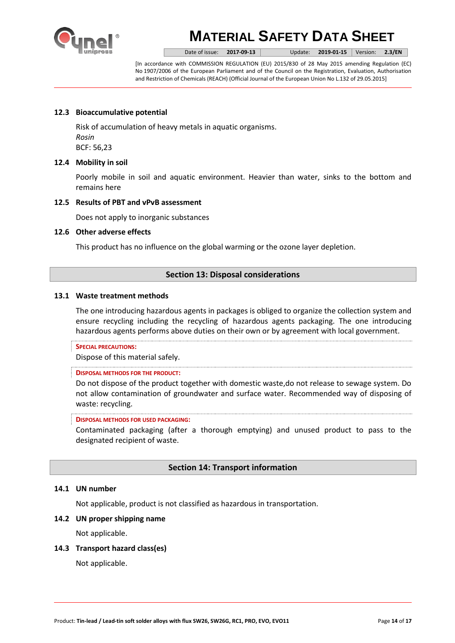

Date of issue: **2017-09-13** Update: **2019-01-15** Version: **2.3/EN**

[In accordance with COMMISSION REGULATION (EU) 2015/830 of 28 May 2015 amending Regulation (EC) No 1907/2006 of the European Parliament and of the Council on the Registration, Evaluation, Authorisation and Restriction of Chemicals (REACH) (Official Journal of the European Union No L.132 of 29.05.2015]

# **12.3 Bioaccumulative potential**

Risk of accumulation of heavy metals in aquatic organisms. *Rosin* BCF: 56,23

## **12.4 Mobility in soil**

Poorly mobile in soil and aquatic environment. Heavier than water, sinks to the bottom and remains here

## **12.5 Results of PBT and vPvB assessment**

Does not apply to inorganic substances

## **12.6 Other adverse effects**

This product has no influence on the global warming or the ozone layer depletion.

# **Section 13: Disposal considerations**

## **13.1 Waste treatment methods**

The one introducing hazardous agents in packages is obliged to organize the collection system and ensure recycling including the recycling of hazardous agents packaging. The one introducing hazardous agents performs above duties on their own or by agreement with local government.

## **SPECIAL PRECAUTIONS:**

Dispose of this material safely.

## **DISPOSAL METHODS FOR THE PRODUCT:**

Do not dispose of the product together with domestic waste,do not release to sewage system. Do not allow contamination of groundwater and surface water. Recommended way of disposing of waste: recycling.

#### **DISPOSAL METHODS FOR USED PACKAGING:**

Contaminated packaging (after a thorough emptying) and unused product to pass to the designated recipient of waste.

# **Section 14: Transport information**

## **14.1 UN number**

Not applicable, product is not classified as hazardous in transportation.

## **14.2 UN proper shipping name**

Not applicable.

## **14.3 Transport hazard class(es)**

Not applicable.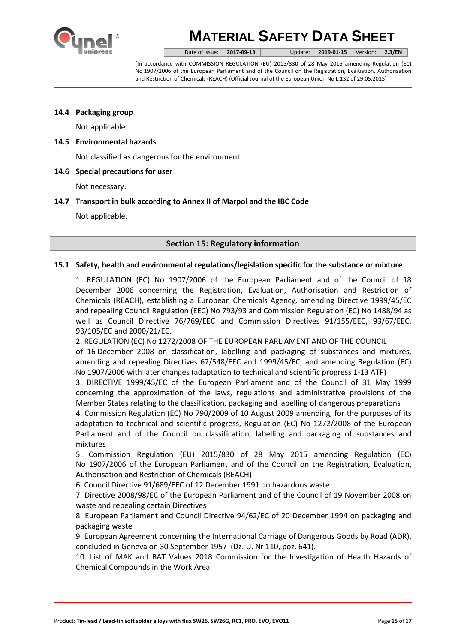

Date of issue: **2017-09-13** Update: **2019-01-15** Version: **2.3/EN**

[In accordance with COMMISSION REGULATION (EU) 2015/830 of 28 May 2015 amending Regulation (EC) No 1907/2006 of the European Parliament and of the Council on the Registration, Evaluation, Authorisation and Restriction of Chemicals (REACH) (Official Journal of the European Union No L.132 of 29.05.2015]

## **14.4 Packaging group**

Not applicable.

## **14.5 Environmental hazards**

Not classified as dangerous for the environment.

## **14.6 Special precautions for user**

Not necessary.

## **14.7 Transport in bulk according to Annex II of Marpol and the IBC Code**

Not applicable.

# **Section 15: Regulatory information**

## **15.1 Safety, health and environmental regulations/legislation specific for the substance or mixture**

1. REGULATION (EC) No 1907/2006 of the European Parliament and of the Council of 18 December 2006 concerning the Registration, Evaluation, Authorisation and Restriction of Chemicals (REACH), establishing a European Chemicals Agency, amending Directive 1999/45/EC and repealing Council Regulation (EEC) No 793/93 and Commission Regulation (EC) No 1488/94 as well as Council Directive 76/769/EEC and Commission Directives 91/155/EEC, 93/67/EEC, 93/105/EC and 2000/21/EC.

2. REGULATION (EC) No 1272/2008 OF THE EUROPEAN PARLIAMENT AND OF THE COUNCIL

of 16 December 2008 on classification, labelling and packaging of substances and mixtures, amending and repealing Directives 67/548/EEC and 1999/45/EC, and amending Regulation (EC) No 1907/2006 with later changes (adaptation to technical and scientific progress 1-13 ATP)

3. DIRECTIVE 1999/45/EC of the European Parliament and of the Council of 31 May 1999 concerning the approximation of the laws, regulations and administrative provisions of the Member States relating to the classification, packaging and labelling of dangerous preparations

4. Commission Regulation (EC) No 790/2009 of 10 August 2009 amending, for the purposes of its adaptation to technical and scientific progress, Regulation (EC) No 1272/2008 of the European Parliament and of the Council on classification, labelling and packaging of substances and mixtures

5. Commission Regulation (EU) 2015/830 of 28 May 2015 amending Regulation (EC) No 1907/2006 of the European Parliament and of the Council on the Registration, Evaluation, Authorisation and Restriction of Chemicals (REACH)

6. Council Directive 91/689/EEC of 12 December 1991 on hazardous waste

7. Directive 2008/98/EC of the European Parliament and of the Council of 19 November 2008 on waste and repealing certain Directives

8. European Parliament and Council Directive 94/62/EC of 20 December 1994 on packaging and packaging waste

9. European Agreement concerning the International Carriage of Dangerous Goods by Road (ADR), concluded in Geneva on 30 September 1957 (Dz. U. Nr 110, poz. 641).

10. List of MAK and BAT Values 2018 Commission for the Investigation of Health Hazards of Chemical Compounds in the Work Area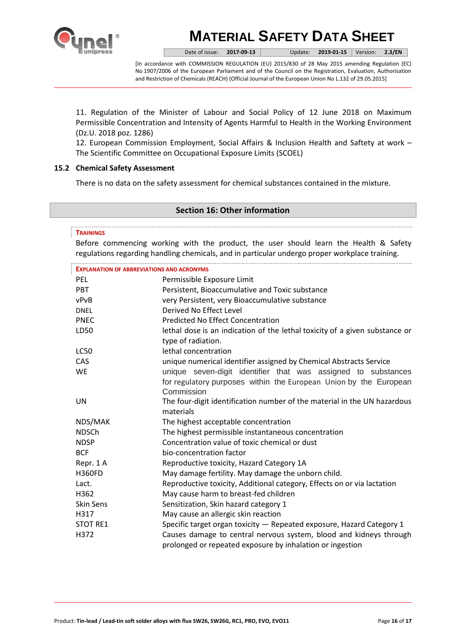

Date of issue: **2017-09-13** Update: **2019-01-15** Version: **2.3/EN**

[In accordance with COMMISSION REGULATION (EU) 2015/830 of 28 May 2015 amending Regulation (EC) No 1907/2006 of the European Parliament and of the Council on the Registration, Evaluation, Authorisation and Restriction of Chemicals (REACH) (Official Journal of the European Union No L.132 of 29.05.2015]

11. Regulation of the Minister of Labour and Social Policy of 12 June 2018 on Maximum Permissible Concentration and Intensity of Agents Harmful to Health in the Working Environment (Dz.U. 2018 poz. 1286)

12. European Commission Employment, Social Affairs & Inclusion Health and Saftety at work – The Scientific Committee on Occupational Exposure Limits (SCOEL)

## **15.2 Chemical Safety Assessment**

There is no data on the safety assessment for chemical substances contained in the mixture.

## **Section 16: Other information**

### **TRAININGS**

Before commencing working with the product, the user should learn the Health & Safety regulations regarding handling chemicals, and in particular undergo proper workplace training.

| <b>EXPLANATION OF ABBREVIATIONS AND ACRONYMS</b> |                                                                                       |  |
|--------------------------------------------------|---------------------------------------------------------------------------------------|--|
| <b>PEL</b>                                       | Permissible Exposure Limit                                                            |  |
| <b>PBT</b>                                       | Persistent, Bioaccumulative and Toxic substance                                       |  |
| vPvB                                             | very Persistent, very Bioaccumulative substance                                       |  |
| <b>DNEL</b>                                      | Derived No Effect Level                                                               |  |
| <b>PNEC</b>                                      | <b>Predicted No Effect Concentration</b>                                              |  |
| LD50                                             | lethal dose is an indication of the lethal toxicity of a given substance or           |  |
|                                                  | type of radiation.                                                                    |  |
| <b>LC50</b>                                      | lethal concentration                                                                  |  |
| CAS                                              | unique numerical identifier assigned by Chemical Abstracts Service                    |  |
| <b>WE</b>                                        | unique seven-digit identifier that was assigned to substances                         |  |
|                                                  | for regulatory purposes within the European Union by the European                     |  |
|                                                  | Commission                                                                            |  |
| UN                                               | The four-digit identification number of the material in the UN hazardous<br>materials |  |
| NDS/MAK                                          | The highest acceptable concentration                                                  |  |
| <b>NDSCh</b>                                     | The highest permissible instantaneous concentration                                   |  |
| <b>NDSP</b>                                      | Concentration value of toxic chemical or dust                                         |  |
| <b>BCF</b>                                       | bio-concentration factor                                                              |  |
| Repr. 1A                                         | Reproductive toxicity, Hazard Category 1A                                             |  |
| <b>H360FD</b>                                    | May damage fertility. May damage the unborn child.                                    |  |
| Lact.                                            | Reproductive toxicity, Additional category, Effects on or via lactation               |  |
| H362                                             | May cause harm to breast-fed children                                                 |  |
| <b>Skin Sens</b>                                 | Sensitization, Skin hazard category 1                                                 |  |
| H317                                             | May cause an allergic skin reaction                                                   |  |
| <b>STOT RE1</b>                                  | Specific target organ toxicity - Repeated exposure, Hazard Category 1                 |  |
| H372                                             | Causes damage to central nervous system, blood and kidneys through                    |  |
|                                                  | prolonged or repeated exposure by inhalation or ingestion                             |  |